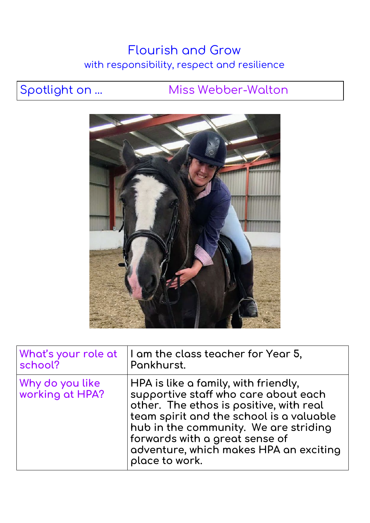## Flourish and Grow with responsibility, respect and resilience

## Spotlight on ... Miss Webber-Walton



| What's your role at                | $\vert$ I am the class teacher for Year 5,                                                                                                                                                                                                                                                                         |
|------------------------------------|--------------------------------------------------------------------------------------------------------------------------------------------------------------------------------------------------------------------------------------------------------------------------------------------------------------------|
| school?                            | Pankhurst.                                                                                                                                                                                                                                                                                                         |
| Why do you like<br>working at HPA? | $\vert$ HPA is like a family, with friendly,<br>supportive staff who care about each<br>other. The ethos is positive, with real<br>team spirit and the school is a valuable<br>hub in the community. We are striding<br>forwards with a great sense of<br>adventure, which makes HPA an exciting<br>place to work. |